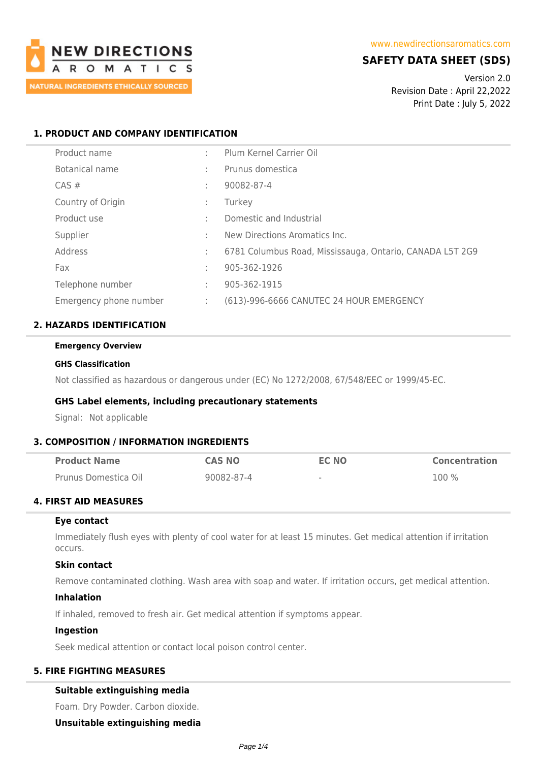

## **SAFETY DATA SHEET (SDS)**

Version 2.0 Revision Date : April 22,2022 Print Date : July 5, 2022

### **1. PRODUCT AND COMPANY IDENTIFICATION**

| Product name           | ÷ | Plum Kernel Carrier Oil                                  |
|------------------------|---|----------------------------------------------------------|
| Botanical name         | ÷ | Prunus domestica                                         |
| $CAS \#$               |   | 90082-87-4                                               |
| Country of Origin      | ÷ | Turkey                                                   |
| Product use            |   | Domestic and Industrial                                  |
| Supplier               | ÷ | New Directions Aromatics Inc.                            |
| Address                | ÷ | 6781 Columbus Road, Mississauga, Ontario, CANADA L5T 2G9 |
| Fax                    | ÷ | 905-362-1926                                             |
| Telephone number       | ÷ | 905-362-1915                                             |
| Emergency phone number | ÷ | (613)-996-6666 CANUTEC 24 HOUR EMERGENCY                 |

### **2. HAZARDS IDENTIFICATION**

# **Emergency Overview**

#### **GHS Classification**

Not classified as hazardous or dangerous under (EC) No 1272/2008, 67/548/EEC or 1999/45-EC.

### **GHS Label elements, including precautionary statements**

Signal: Not applicable

### **3. COMPOSITION / INFORMATION INGREDIENTS**

| <b>Product Name</b>  | <b>CAS NO</b> | EC NO  | <b>Concentration</b> |
|----------------------|---------------|--------|----------------------|
| Prunus Domestica Oil | 90082-87-4    | $\sim$ | $100\%$              |

### **4. FIRST AID MEASURES**

### **Eye contact**

Immediately flush eyes with plenty of cool water for at least 15 minutes. Get medical attention if irritation occurs.

### **Skin contact**

Remove contaminated clothing. Wash area with soap and water. If irritation occurs, get medical attention.

### **Inhalation**

If inhaled, removed to fresh air. Get medical attention if symptoms appear.

### **Ingestion**

Seek medical attention or contact local poison control center.

### **5. FIRE FIGHTING MEASURES**

### **Suitable extinguishing media**

Foam. Dry Powder. Carbon dioxide.

**Unsuitable extinguishing media**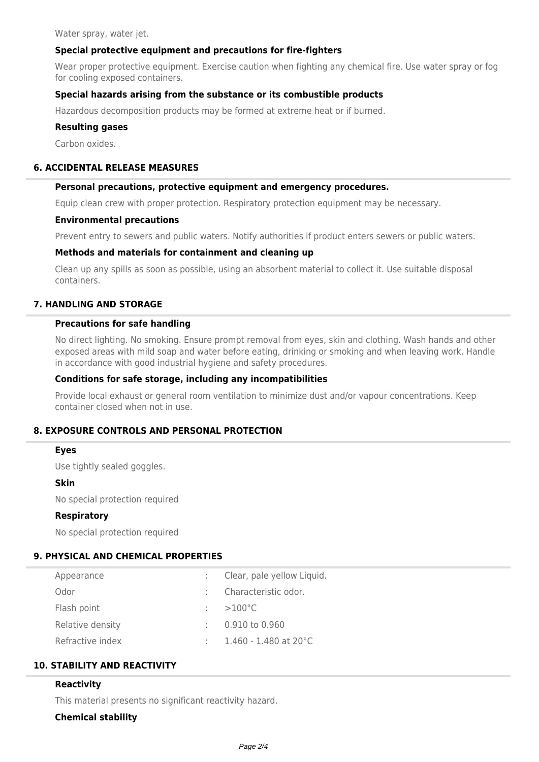Water spray, water jet.

### **Special protective equipment and precautions for fire-fighters**

Wear proper protective equipment. Exercise caution when fighting any chemical fire. Use water spray or fog for cooling exposed containers.

### **Special hazards arising from the substance or its combustible products**

Hazardous decomposition products may be formed at extreme heat or if burned.

#### **Resulting gases**

Carbon oxides.

#### **6. ACCIDENTAL RELEASE MEASURES**

#### **Personal precautions, protective equipment and emergency procedures.**

Equip clean crew with proper protection. Respiratory protection equipment may be necessary.

#### **Environmental precautions**

Prevent entry to sewers and public waters. Notify authorities if product enters sewers or public waters.

### **Methods and materials for containment and cleaning up**

Clean up any spills as soon as possible, using an absorbent material to collect it. Use suitable disposal containers.

### **7. HANDLING AND STORAGE**

### **Precautions for safe handling**

No direct lighting. No smoking. Ensure prompt removal from eyes, skin and clothing. Wash hands and other exposed areas with mild soap and water before eating, drinking or smoking and when leaving work. Handle in accordance with good industrial hygiene and safety procedures.

#### **Conditions for safe storage, including any incompatibilities**

Provide local exhaust or general room ventilation to minimize dust and/or vapour concentrations. Keep container closed when not in use.

### **8. EXPOSURE CONTROLS AND PERSONAL PROTECTION**

#### **Eyes**

Use tightly sealed goggles.

#### **Skin**

No special protection required

#### **Respiratory**

No special protection required

### **9. PHYSICAL AND CHEMICAL PROPERTIES**

| Appearance       | Clear, pale yellow Liquid. |
|------------------|----------------------------|
| Odor             | Characteristic odor.       |
| Flash point      | $>100^{\circ}$ C           |
| Relative density | 0.910 to 0.960             |
| Refractive index | $1.460$ - $1.480$ at 20°C  |
|                  |                            |

## **10. STABILITY AND REACTIVITY**

### **Reactivity**

This material presents no significant reactivity hazard.

### **Chemical stability**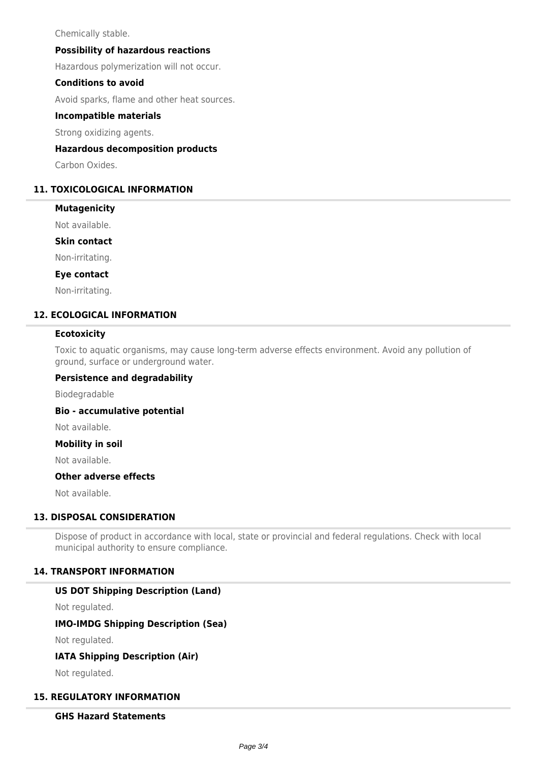Chemically stable.

### **Possibility of hazardous reactions**

Hazardous polymerization will not occur.

### **Conditions to avoid**

Avoid sparks, flame and other heat sources.

### **Incompatible materials**

Strong oxidizing agents.

### **Hazardous decomposition products**

Carbon Oxides.

### **11. TOXICOLOGICAL INFORMATION**

#### **Mutagenicity**

Not available.

#### **Skin contact**

Non-irritating.

#### **Eye contact**

Non-irritating.

### **12. ECOLOGICAL INFORMATION**

### **Ecotoxicity**

Toxic to aquatic organisms, may cause long-term adverse effects environment. Avoid any pollution of ground, surface or underground water.

#### **Persistence and degradability**

Biodegradable

### **Bio - accumulative potential**

Not available.

### **Mobility in soil**

Not available.

### **Other adverse effects**

Not available.

### **13. DISPOSAL CONSIDERATION**

Dispose of product in accordance with local, state or provincial and federal regulations. Check with local municipal authority to ensure compliance.

### **14. TRANSPORT INFORMATION**

### **US DOT Shipping Description (Land)**

Not regulated.

### **IMO-IMDG Shipping Description (Sea)**

Not regulated.

### **IATA Shipping Description (Air)**

Not regulated.

### **15. REGULATORY INFORMATION**

### **GHS Hazard Statements**